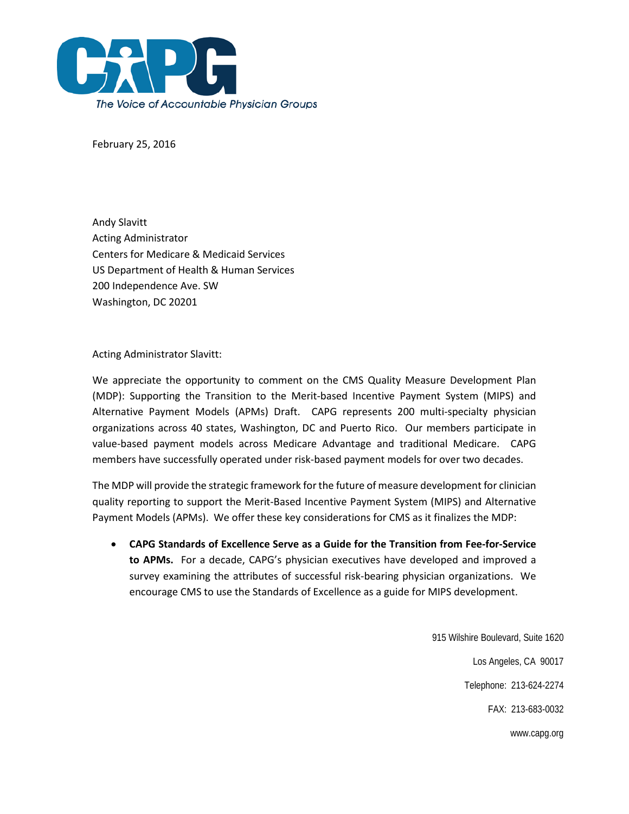

February 25, 2016

Andy Slavitt Acting Administrator Centers for Medicare & Medicaid Services US Department of Health & Human Services 200 Independence Ave. SW Washington, DC 20201

Acting Administrator Slavitt:

We appreciate the opportunity to comment on the CMS Quality Measure Development Plan (MDP): Supporting the Transition to the Merit-based Incentive Payment System (MIPS) and Alternative Payment Models (APMs) Draft. CAPG represents 200 multi-specialty physician organizations across 40 states, Washington, DC and Puerto Rico. Our members participate in value-based payment models across Medicare Advantage and traditional Medicare. CAPG members have successfully operated under risk-based payment models for over two decades.

The MDP will provide the strategic framework for the future of measure development for clinician quality reporting to support the Merit-Based Incentive Payment System (MIPS) and Alternative Payment Models (APMs). We offer these key considerations for CMS as it finalizes the MDP:

• **CAPG Standards of Excellence Serve as a Guide for the Transition from Fee-for-Service to APMs.** For a decade, CAPG's physician executives have developed and improved a survey examining the attributes of successful risk-bearing physician organizations. We encourage CMS to use the Standards of Excellence as a guide for MIPS development.

> 915 Wilshire Boulevard, Suite 1620 Los Angeles, CA 90017 Telephone: 213-624-2274 FAX: 213-683-0032 www.capg.org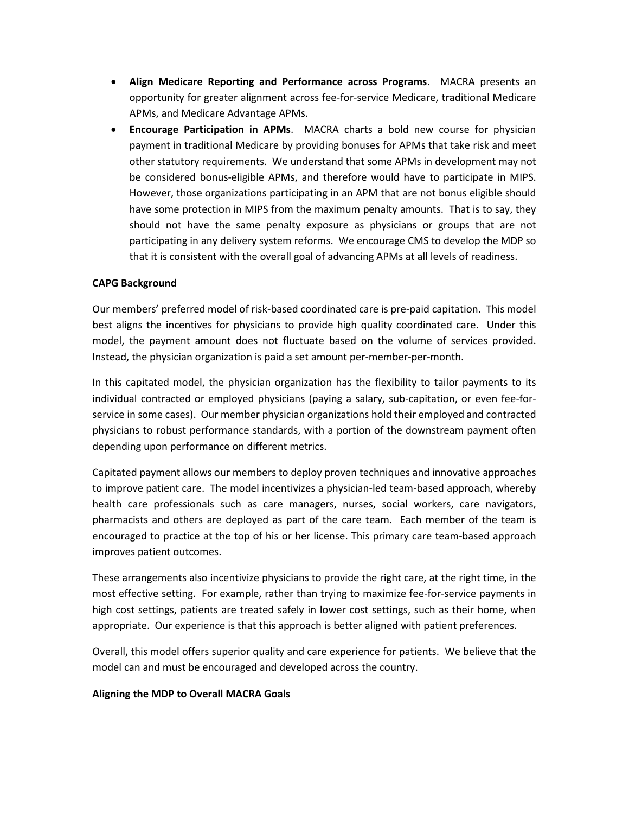- **Align Medicare Reporting and Performance across Programs**. MACRA presents an opportunity for greater alignment across fee-for-service Medicare, traditional Medicare APMs, and Medicare Advantage APMs.
- **Encourage Participation in APMs**. MACRA charts a bold new course for physician payment in traditional Medicare by providing bonuses for APMs that take risk and meet other statutory requirements. We understand that some APMs in development may not be considered bonus-eligible APMs, and therefore would have to participate in MIPS. However, those organizations participating in an APM that are not bonus eligible should have some protection in MIPS from the maximum penalty amounts. That is to say, they should not have the same penalty exposure as physicians or groups that are not participating in any delivery system reforms. We encourage CMS to develop the MDP so that it is consistent with the overall goal of advancing APMs at all levels of readiness.

### **CAPG Background**

Our members' preferred model of risk-based coordinated care is pre-paid capitation. This model best aligns the incentives for physicians to provide high quality coordinated care. Under this model, the payment amount does not fluctuate based on the volume of services provided. Instead, the physician organization is paid a set amount per-member-per-month.

In this capitated model, the physician organization has the flexibility to tailor payments to its individual contracted or employed physicians (paying a salary, sub-capitation, or even fee-forservice in some cases). Our member physician organizations hold their employed and contracted physicians to robust performance standards, with a portion of the downstream payment often depending upon performance on different metrics.

Capitated payment allows our members to deploy proven techniques and innovative approaches to improve patient care. The model incentivizes a physician-led team-based approach, whereby health care professionals such as care managers, nurses, social workers, care navigators, pharmacists and others are deployed as part of the care team. Each member of the team is encouraged to practice at the top of his or her license. This primary care team-based approach improves patient outcomes.

These arrangements also incentivize physicians to provide the right care, at the right time, in the most effective setting. For example, rather than trying to maximize fee-for-service payments in high cost settings, patients are treated safely in lower cost settings, such as their home, when appropriate. Our experience is that this approach is better aligned with patient preferences.

Overall, this model offers superior quality and care experience for patients. We believe that the model can and must be encouraged and developed across the country.

#### **Aligning the MDP to Overall MACRA Goals**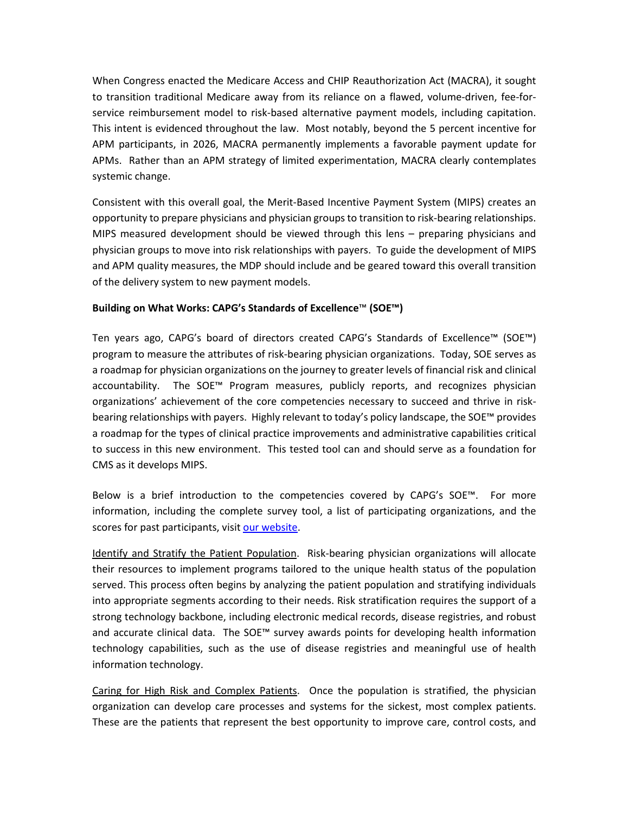When Congress enacted the Medicare Access and CHIP Reauthorization Act (MACRA), it sought to transition traditional Medicare away from its reliance on a flawed, volume-driven, fee-forservice reimbursement model to risk-based alternative payment models, including capitation. This intent is evidenced throughout the law. Most notably, beyond the 5 percent incentive for APM participants, in 2026, MACRA permanently implements a favorable payment update for APMs. Rather than an APM strategy of limited experimentation, MACRA clearly contemplates systemic change.

Consistent with this overall goal, the Merit-Based Incentive Payment System (MIPS) creates an opportunity to prepare physicians and physician groups to transition to risk-bearing relationships. MIPS measured development should be viewed through this lens – preparing physicians and physician groups to move into risk relationships with payers. To guide the development of MIPS and APM quality measures, the MDP should include and be geared toward this overall transition of the delivery system to new payment models.

# **Building on What Works: CAPG's Standards of Excellence**™ **(SOE™)**

Ten years ago, CAPG's board of directors created CAPG's Standards of Excellence™ (SOE™) program to measure the attributes of risk-bearing physician organizations. Today, SOE serves as a roadmap for physician organizations on the journey to greater levels of financial risk and clinical accountability. The SOE™ Program measures, publicly reports, and recognizes physician organizations' achievement of the core competencies necessary to succeed and thrive in riskbearing relationships with payers. Highly relevant to today's policy landscape, the SOE™ provides a roadmap for the types of clinical practice improvements and administrative capabilities critical to success in this new environment. This tested tool can and should serve as a foundation for CMS as it develops MIPS.

Below is a brief introduction to the competencies covered by CAPG's SOE™. For more information, including the complete survey tool, a list of participating organizations, and the scores for past participants, visi[t our website.](http://capg.org/index.aspx?page=84)

Identify and Stratify the Patient Population. Risk-bearing physician organizations will allocate their resources to implement programs tailored to the unique health status of the population served. This process often begins by analyzing the patient population and stratifying individuals into appropriate segments according to their needs. Risk stratification requires the support of a strong technology backbone, including electronic medical records, disease registries, and robust and accurate clinical data. The SOE™ survey awards points for developing health information technology capabilities, such as the use of disease registries and meaningful use of health information technology.

Caring for High Risk and Complex Patients. Once the population is stratified, the physician organization can develop care processes and systems for the sickest, most complex patients. These are the patients that represent the best opportunity to improve care, control costs, and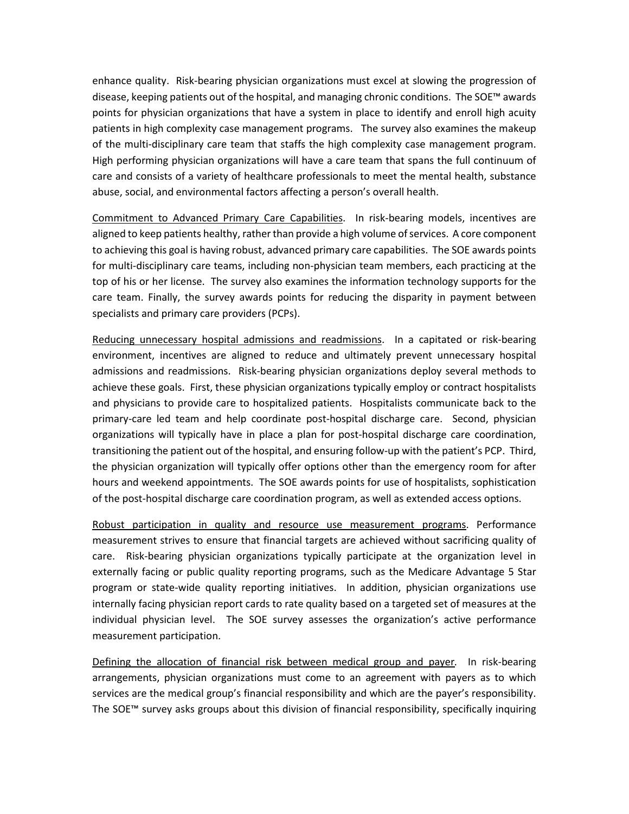enhance quality. Risk-bearing physician organizations must excel at slowing the progression of disease, keeping patients out of the hospital, and managing chronic conditions. The SOE™ awards points for physician organizations that have a system in place to identify and enroll high acuity patients in high complexity case management programs. The survey also examines the makeup of the multi-disciplinary care team that staffs the high complexity case management program. High performing physician organizations will have a care team that spans the full continuum of care and consists of a variety of healthcare professionals to meet the mental health, substance abuse, social, and environmental factors affecting a person's overall health.

Commitment to Advanced Primary Care Capabilities. In risk-bearing models, incentives are aligned to keep patients healthy, rather than provide a high volume of services. A core component to achieving this goal is having robust, advanced primary care capabilities. The SOE awards points for multi-disciplinary care teams, including non-physician team members, each practicing at the top of his or her license. The survey also examines the information technology supports for the care team. Finally, the survey awards points for reducing the disparity in payment between specialists and primary care providers (PCPs).

Reducing unnecessary hospital admissions and readmissions. In a capitated or risk-bearing environment, incentives are aligned to reduce and ultimately prevent unnecessary hospital admissions and readmissions. Risk-bearing physician organizations deploy several methods to achieve these goals. First, these physician organizations typically employ or contract hospitalists and physicians to provide care to hospitalized patients. Hospitalists communicate back to the primary-care led team and help coordinate post-hospital discharge care. Second, physician organizations will typically have in place a plan for post-hospital discharge care coordination, transitioning the patient out of the hospital, and ensuring follow-up with the patient's PCP. Third, the physician organization will typically offer options other than the emergency room for after hours and weekend appointments. The SOE awards points for use of hospitalists, sophistication of the post-hospital discharge care coordination program, as well as extended access options.

Robust participation in quality and resource use measurement programs. Performance measurement strives to ensure that financial targets are achieved without sacrificing quality of care. Risk-bearing physician organizations typically participate at the organization level in externally facing or public quality reporting programs, such as the Medicare Advantage 5 Star program or state-wide quality reporting initiatives. In addition, physician organizations use internally facing physician report cards to rate quality based on a targeted set of measures at the individual physician level. The SOE survey assesses the organization's active performance measurement participation.

Defining the allocation of financial risk between medical group and payer*.* In risk-bearing arrangements, physician organizations must come to an agreement with payers as to which services are the medical group's financial responsibility and which are the payer's responsibility. The SOE™ survey asks groups about this division of financial responsibility, specifically inquiring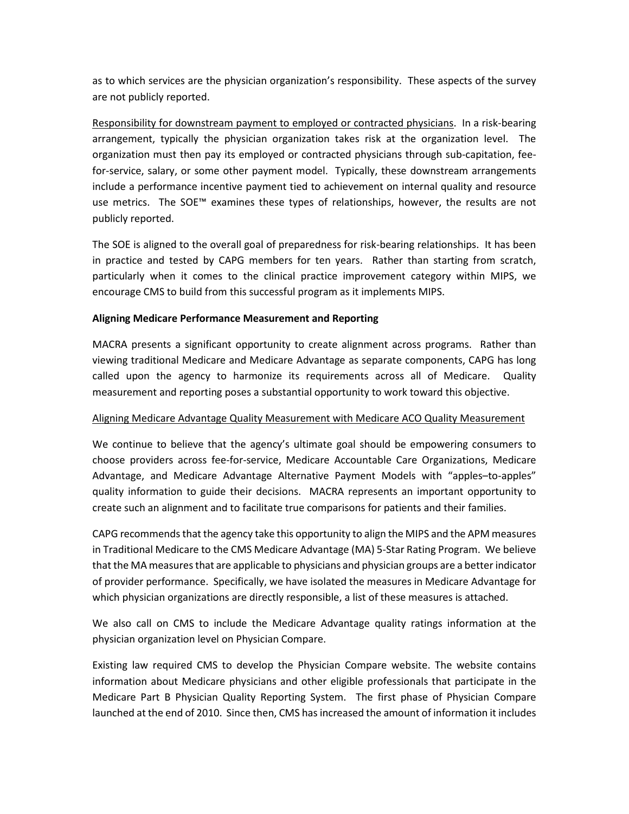as to which services are the physician organization's responsibility. These aspects of the survey are not publicly reported.

Responsibility for downstream payment to employed or contracted physicians. In a risk-bearing arrangement, typically the physician organization takes risk at the organization level. The organization must then pay its employed or contracted physicians through sub-capitation, feefor-service, salary, or some other payment model. Typically, these downstream arrangements include a performance incentive payment tied to achievement on internal quality and resource use metrics. The SOE™ examines these types of relationships, however, the results are not publicly reported.

The SOE is aligned to the overall goal of preparedness for risk-bearing relationships. It has been in practice and tested by CAPG members for ten years. Rather than starting from scratch, particularly when it comes to the clinical practice improvement category within MIPS, we encourage CMS to build from this successful program as it implements MIPS.

### **Aligning Medicare Performance Measurement and Reporting**

MACRA presents a significant opportunity to create alignment across programs. Rather than viewing traditional Medicare and Medicare Advantage as separate components, CAPG has long called upon the agency to harmonize its requirements across all of Medicare. Quality measurement and reporting poses a substantial opportunity to work toward this objective.

### Aligning Medicare Advantage Quality Measurement with Medicare ACO Quality Measurement

We continue to believe that the agency's ultimate goal should be empowering consumers to choose providers across fee-for-service, Medicare Accountable Care Organizations, Medicare Advantage, and Medicare Advantage Alternative Payment Models with "apples–to-apples" quality information to guide their decisions. MACRA represents an important opportunity to create such an alignment and to facilitate true comparisons for patients and their families.

CAPG recommends that the agency take this opportunity to align the MIPS and the APM measures in Traditional Medicare to the CMS Medicare Advantage (MA) 5-Star Rating Program. We believe that the MA measures that are applicable to physicians and physician groups are a better indicator of provider performance. Specifically, we have isolated the measures in Medicare Advantage for which physician organizations are directly responsible, a list of these measures is attached.

We also call on CMS to include the Medicare Advantage quality ratings information at the physician organization level on Physician Compare.

Existing law required CMS to develop the Physician Compare website. The website contains information about Medicare physicians and other eligible professionals that participate in the Medicare Part B Physician Quality Reporting System. The first phase of Physician Compare launched at the end of 2010. Since then, CMS has increased the amount of information it includes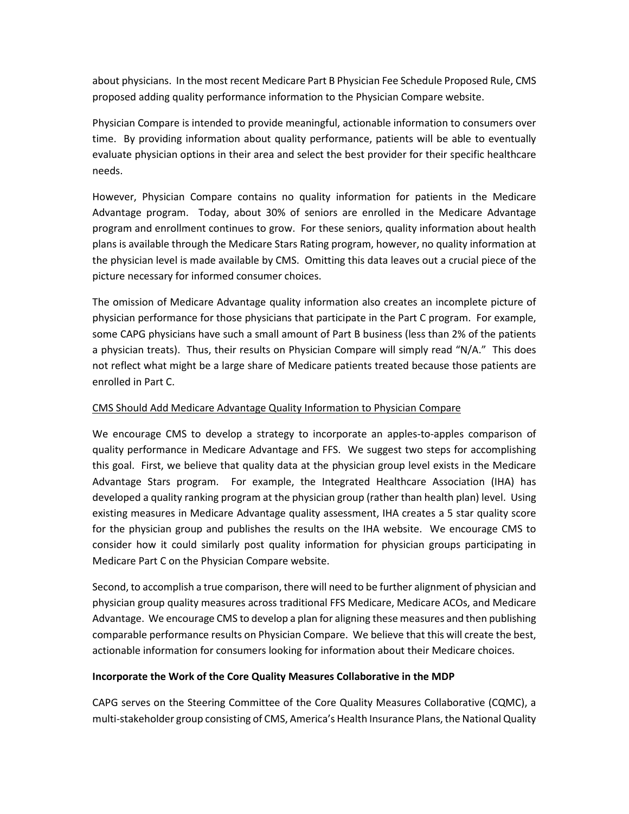about physicians. In the most recent Medicare Part B Physician Fee Schedule Proposed Rule, CMS proposed adding quality performance information to the Physician Compare website.

Physician Compare is intended to provide meaningful, actionable information to consumers over time. By providing information about quality performance, patients will be able to eventually evaluate physician options in their area and select the best provider for their specific healthcare needs.

However, Physician Compare contains no quality information for patients in the Medicare Advantage program. Today, about 30% of seniors are enrolled in the Medicare Advantage program and enrollment continues to grow. For these seniors, quality information about health plans is available through the Medicare Stars Rating program, however, no quality information at the physician level is made available by CMS. Omitting this data leaves out a crucial piece of the picture necessary for informed consumer choices.

The omission of Medicare Advantage quality information also creates an incomplete picture of physician performance for those physicians that participate in the Part C program. For example, some CAPG physicians have such a small amount of Part B business (less than 2% of the patients a physician treats). Thus, their results on Physician Compare will simply read "N/A." This does not reflect what might be a large share of Medicare patients treated because those patients are enrolled in Part C.

### CMS Should Add Medicare Advantage Quality Information to Physician Compare

We encourage CMS to develop a strategy to incorporate an apples-to-apples comparison of quality performance in Medicare Advantage and FFS. We suggest two steps for accomplishing this goal. First, we believe that quality data at the physician group level exists in the Medicare Advantage Stars program. For example, the Integrated Healthcare Association (IHA) has developed a quality ranking program at the physician group (rather than health plan) level. Using existing measures in Medicare Advantage quality assessment, IHA creates a 5 star quality score for the physician group and publishes the results on the IHA website. We encourage CMS to consider how it could similarly post quality information for physician groups participating in Medicare Part C on the Physician Compare website.

Second, to accomplish a true comparison, there will need to be further alignment of physician and physician group quality measures across traditional FFS Medicare, Medicare ACOs, and Medicare Advantage. We encourage CMS to develop a plan for aligning these measures and then publishing comparable performance results on Physician Compare. We believe that this will create the best, actionable information for consumers looking for information about their Medicare choices.

### **Incorporate the Work of the Core Quality Measures Collaborative in the MDP**

CAPG serves on the Steering Committee of the Core Quality Measures Collaborative (CQMC), a multi-stakeholder group consisting of CMS, America's Health Insurance Plans, the National Quality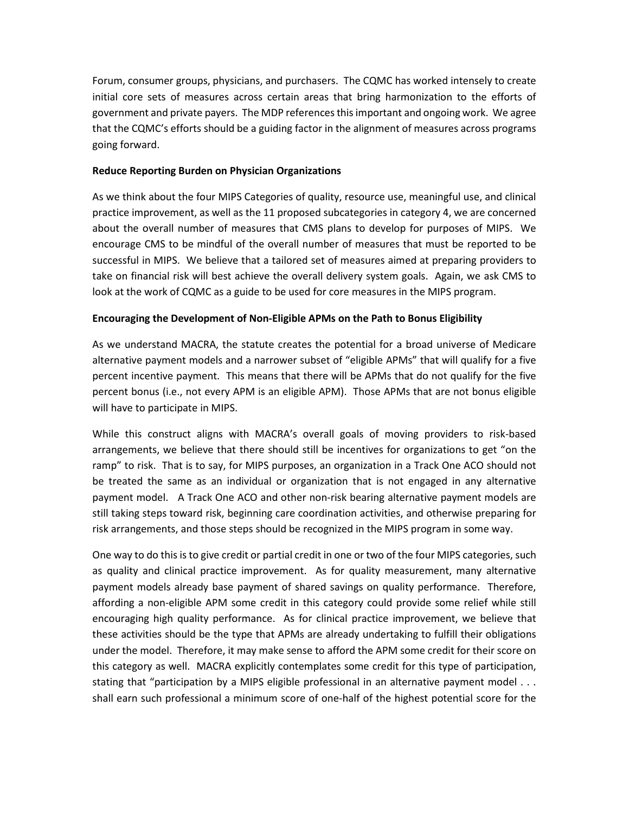Forum, consumer groups, physicians, and purchasers. The CQMC has worked intensely to create initial core sets of measures across certain areas that bring harmonization to the efforts of government and private payers. The MDP references this important and ongoing work. We agree that the CQMC's efforts should be a guiding factor in the alignment of measures across programs going forward.

## **Reduce Reporting Burden on Physician Organizations**

As we think about the four MIPS Categories of quality, resource use, meaningful use, and clinical practice improvement, as well as the 11 proposed subcategories in category 4, we are concerned about the overall number of measures that CMS plans to develop for purposes of MIPS. We encourage CMS to be mindful of the overall number of measures that must be reported to be successful in MIPS. We believe that a tailored set of measures aimed at preparing providers to take on financial risk will best achieve the overall delivery system goals. Again, we ask CMS to look at the work of CQMC as a guide to be used for core measures in the MIPS program.

# **Encouraging the Development of Non-Eligible APMs on the Path to Bonus Eligibility**

As we understand MACRA, the statute creates the potential for a broad universe of Medicare alternative payment models and a narrower subset of "eligible APMs" that will qualify for a five percent incentive payment. This means that there will be APMs that do not qualify for the five percent bonus (i.e., not every APM is an eligible APM). Those APMs that are not bonus eligible will have to participate in MIPS.

While this construct aligns with MACRA's overall goals of moving providers to risk-based arrangements, we believe that there should still be incentives for organizations to get "on the ramp" to risk. That is to say, for MIPS purposes, an organization in a Track One ACO should not be treated the same as an individual or organization that is not engaged in any alternative payment model. A Track One ACO and other non-risk bearing alternative payment models are still taking steps toward risk, beginning care coordination activities, and otherwise preparing for risk arrangements, and those steps should be recognized in the MIPS program in some way.

One way to do this is to give credit or partial credit in one or two of the four MIPS categories, such as quality and clinical practice improvement. As for quality measurement, many alternative payment models already base payment of shared savings on quality performance. Therefore, affording a non-eligible APM some credit in this category could provide some relief while still encouraging high quality performance. As for clinical practice improvement, we believe that these activities should be the type that APMs are already undertaking to fulfill their obligations under the model. Therefore, it may make sense to afford the APM some credit for their score on this category as well. MACRA explicitly contemplates some credit for this type of participation, stating that "participation by a MIPS eligible professional in an alternative payment model . . . shall earn such professional a minimum score of one-half of the highest potential score for the